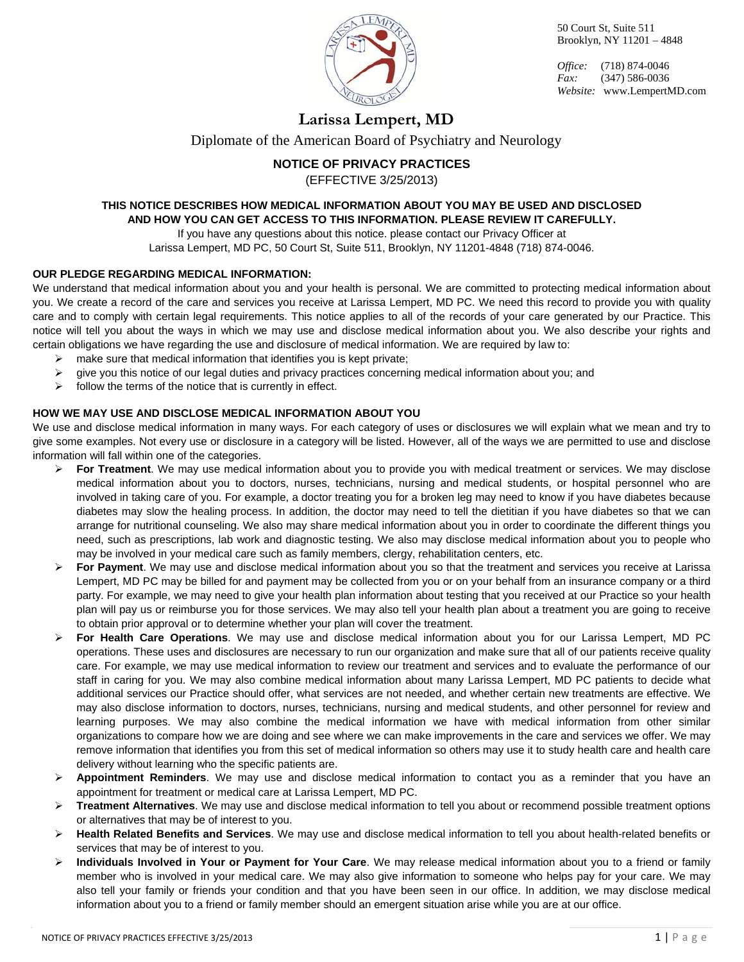

*Office:* (718) 874-0046 *Fax:* (347) 586-0036 *Website:* www.LempertMD.com

### **Larissa Lempert, MD**

Diplomate of the American Board of Psychiatry and Neurology

### **NOTICE OF PRIVACY PRACTICES**

(EFFECTIVE 3/25/2013)

### **THIS NOTICE DESCRIBES HOW MEDICAL INFORMATION ABOUT YOU MAY BE USED AND DISCLOSED AND HOW YOU CAN GET ACCESS TO THIS INFORMATION. PLEASE REVIEW IT CAREFULLY.**

If you have any questions about this notice. please contact our Privacy Officer at

Larissa Lempert, MD PC, 50 Court St, Suite 511, Brooklyn, NY 11201-4848 (718) 874-0046.

### **OUR PLEDGE REGARDING MEDICAL INFORMATION:**

We understand that medical information about you and your health is personal. We are committed to protecting medical information about you. We create a record of the care and services you receive at Larissa Lempert, MD PC. We need this record to provide you with quality care and to comply with certain legal requirements. This notice applies to all of the records of your care generated by our Practice. This notice will tell you about the ways in which we may use and disclose medical information about you. We also describe your rights and certain obligations we have regarding the use and disclosure of medical information. We are required by law to:

- $\triangleright$  make sure that medical information that identifies you is kept private;
- $\triangleright$  give you this notice of our legal duties and privacy practices concerning medical information about you; and
- $\triangleright$  follow the terms of the notice that is currently in effect.

### **HOW WE MAY USE AND DISCLOSE MEDICAL INFORMATION ABOUT YOU**

We use and disclose medical information in many ways. For each category of uses or disclosures we will explain what we mean and try to give some examples. Not every use or disclosure in a category will be listed. However, all of the ways we are permitted to use and disclose information will fall within one of the categories.

- **For Treatment**. We may use medical information about you to provide you with medical treatment or services. We may disclose medical information about you to doctors, nurses, technicians, nursing and medical students, or hospital personnel who are involved in taking care of you. For example, a doctor treating you for a broken leg may need to know if you have diabetes because diabetes may slow the healing process. In addition, the doctor may need to tell the dietitian if you have diabetes so that we can arrange for nutritional counseling. We also may share medical information about you in order to coordinate the different things you need, such as prescriptions, lab work and diagnostic testing. We also may disclose medical information about you to people who may be involved in your medical care such as family members, clergy, rehabilitation centers, etc.
- **For Payment**. We may use and disclose medical information about you so that the treatment and services you receive at Larissa Lempert, MD PC may be billed for and payment may be collected from you or on your behalf from an insurance company or a third party. For example, we may need to give your health plan information about testing that you received at our Practice so your health plan will pay us or reimburse you for those services. We may also tell your health plan about a treatment you are going to receive to obtain prior approval or to determine whether your plan will cover the treatment.
- **For Health Care Operations**. We may use and disclose medical information about you for our Larissa Lempert, MD PC operations. These uses and disclosures are necessary to run our organization and make sure that all of our patients receive quality care. For example, we may use medical information to review our treatment and services and to evaluate the performance of our staff in caring for you. We may also combine medical information about many Larissa Lempert, MD PC patients to decide what additional services our Practice should offer, what services are not needed, and whether certain new treatments are effective. We may also disclose information to doctors, nurses, technicians, nursing and medical students, and other personnel for review and learning purposes. We may also combine the medical information we have with medical information from other similar organizations to compare how we are doing and see where we can make improvements in the care and services we offer. We may remove information that identifies you from this set of medical information so others may use it to study health care and health care delivery without learning who the specific patients are.
- **Appointment Reminders**. We may use and disclose medical information to contact you as a reminder that you have an appointment for treatment or medical care at Larissa Lempert, MD PC.
- **Treatment Alternatives**. We may use and disclose medical information to tell you about or recommend possible treatment options or alternatives that may be of interest to you.
- **Health Related Benefits and Services**. We may use and disclose medical information to tell you about health-related benefits or services that may be of interest to you.
- **Individuals Involved in Your or Payment for Your Care**. We may release medical information about you to a friend or family member who is involved in your medical care. We may also give information to someone who helps pay for your care. We may also tell your family or friends your condition and that you have been seen in our office. In addition, we may disclose medical information about you to a friend or family member should an emergent situation arise while you are at our office.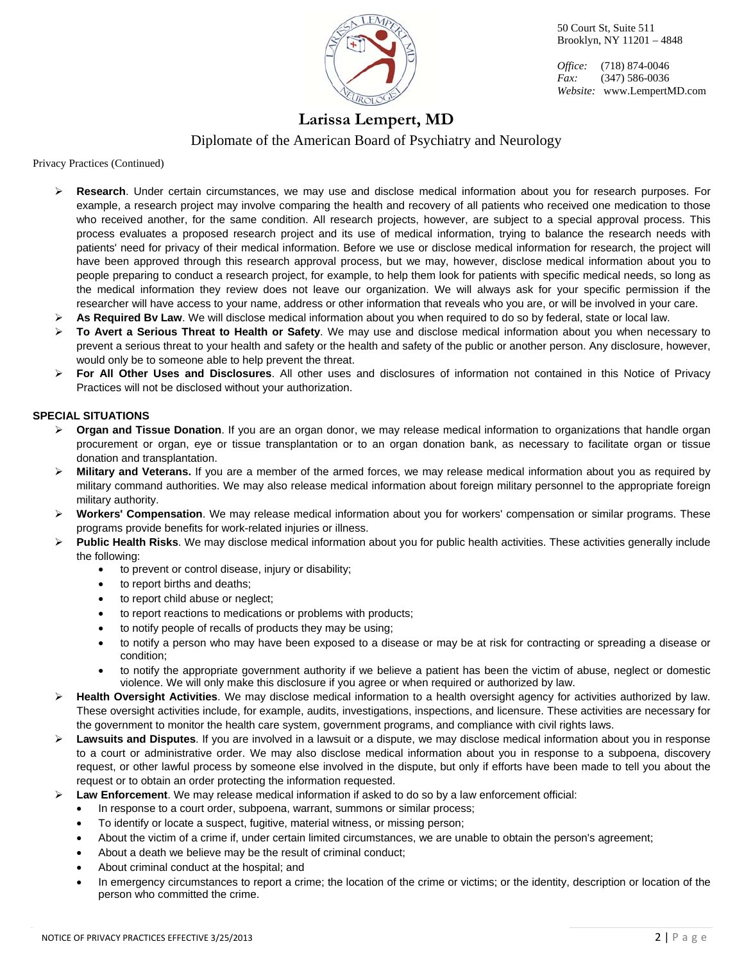

*Office:* (718) 874-0046 *Fax:* (347) 586-0036 *Website:* www.LempertMD.com

**Larissa Lempert, MD** 

Diplomate of the American Board of Psychiatry and Neurology

Privacy Practices (Continued)

- **Research**. Under certain circumstances, we may use and disclose medical information about you for research purposes. For example, a research project may involve comparing the health and recovery of all patients who received one medication to those who received another, for the same condition. All research projects, however, are subject to a special approval process. This process evaluates a proposed research project and its use of medical information, trying to balance the research needs with patients' need for privacy of their medical information. Before we use or disclose medical information for research, the project will have been approved through this research approval process, but we may, however, disclose medical information about you to people preparing to conduct a research project, for example, to help them look for patients with specific medical needs, so long as the medical information they review does not leave our organization. We will always ask for your specific permission if the researcher will have access to your name, address or other information that reveals who you are, or will be involved in your care.
- **EXAS Required Bv Law**. We will disclose medical information about you when required to do so by federal, state or local law.
- **To Avert a Serious Threat to Health or Safety**. We may use and disclose medical information about you when necessary to prevent a serious threat to your health and safety or the health and safety of the public or another person. Any disclosure, however, would only be to someone able to help prevent the threat.
- **For All Other Uses and Disclosures**. All other uses and disclosures of information not contained in this Notice of Privacy Practices will not be disclosed without your authorization.

### **SPECIAL SITUATIONS**

- **▶ Organ and Tissue Donation**. If you are an organ donor, we may release medical information to organizations that handle organ procurement or organ, eye or tissue transplantation or to an organ donation bank, as necessary to facilitate organ or tissue donation and transplantation.
- **Military and Veterans.** If you are a member of the armed forces, we may release medical information about you as required by military command authorities. We may also release medical information about foreign military personnel to the appropriate foreign military authority.
- **Workers' Compensation**. We may release medical information about you for workers' compensation or similar programs. These programs provide benefits for work-related injuries or illness.
- **Public Health Risks**. We may disclose medical information about you for public health activities. These activities generally include the following:
	- to prevent or control disease, injury or disability;
	- to report births and deaths:
	- to report child abuse or neglect;
	- to report reactions to medications or problems with products;
	- to notify people of recalls of products they may be using;
	- to notify a person who may have been exposed to a disease or may be at risk for contracting or spreading a disease or condition;
	- to notify the appropriate government authority if we believe a patient has been the victim of abuse, neglect or domestic violence. We will only make this disclosure if you agree or when required or authorized by law.
- **Health Oversight Activities**. We may disclose medical information to a health oversight agency for activities authorized by law. These oversight activities include, for example, audits, investigations, inspections, and licensure. These activities are necessary for the government to monitor the health care system, government programs, and compliance with civil rights laws.
- **Lawsuits and Disputes**. If you are involved in a lawsuit or a dispute, we may disclose medical information about you in response to a court or administrative order. We may also disclose medical information about you in response to a subpoena, discovery request, or other lawful process by someone else involved in the dispute, but only if efforts have been made to tell you about the request or to obtain an order protecting the information requested.
- **Law Enforcement**. We may release medical information if asked to do so by a law enforcement official:
	- In response to a court order, subpoena, warrant, summons or similar process;
	- To identify or locate a suspect, fugitive, material witness, or missing person;
	- About the victim of a crime if, under certain limited circumstances, we are unable to obtain the person's agreement;
	- About a death we believe may be the result of criminal conduct;
	- About criminal conduct at the hospital; and
	- In emergency circumstances to report a crime; the location of the crime or victims; or the identity, description or location of the person who committed the crime.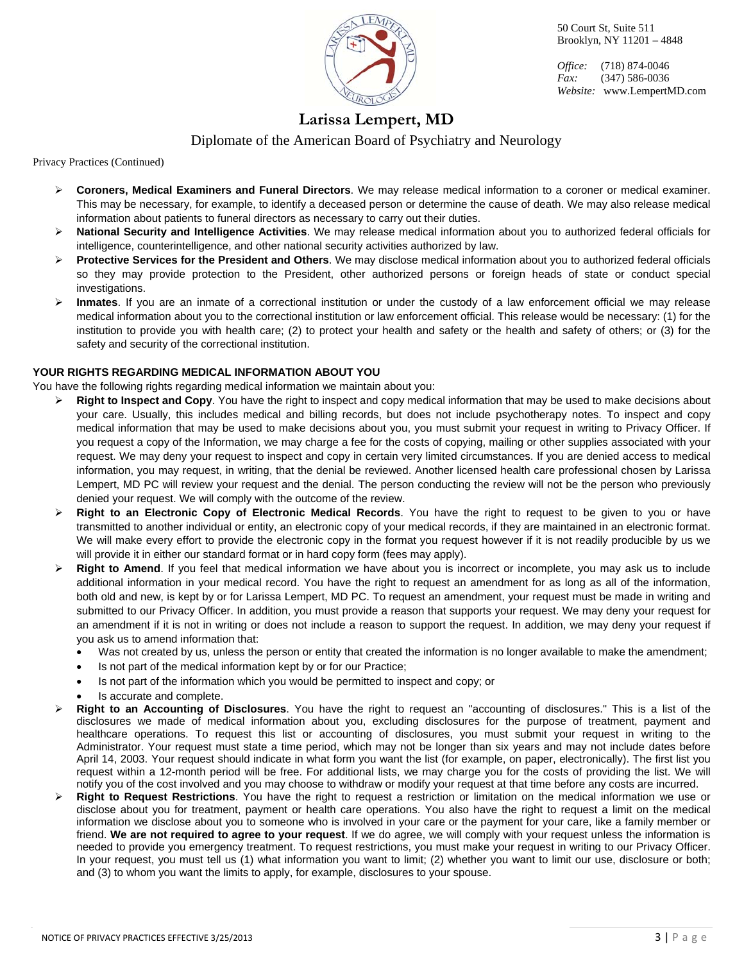

*Office:* (718) 874-0046 *Fax:* (347) 586-0036 *Website:* www.LempertMD.com

# **Larissa Lempert, MD**

Diplomate of the American Board of Psychiatry and Neurology

Privacy Practices (Continued)

- **Coroners, Medical Examiners and Funeral Directors**. We may release medical information to a coroner or medical examiner. This may be necessary, for example, to identify a deceased person or determine the cause of death. We may also release medical information about patients to funeral directors as necessary to carry out their duties.
- **National Security and Intelligence Activities**. We may release medical information about you to authorized federal officials for intelligence, counterintelligence, and other national security activities authorized by law.
- **Protective Services for the President and Others**. We may disclose medical information about you to authorized federal officials so they may provide protection to the President, other authorized persons or foreign heads of state or conduct special investigations.
- **Inmates**. If you are an inmate of a correctional institution or under the custody of a law enforcement official we may release medical information about you to the correctional institution or law enforcement official. This release would be necessary: (1) for the institution to provide you with health care; (2) to protect your health and safety or the health and safety of others; or (3) for the safety and security of the correctional institution.

### **YOUR RIGHTS REGARDING MEDICAL INFORMATION ABOUT YOU**

You have the following rights regarding medical information we maintain about you:

- **Right to Inspect and Copy**. You have the right to inspect and copy medical information that may be used to make decisions about your care. Usually, this includes medical and billing records, but does not include psychotherapy notes. To inspect and copy medical information that may be used to make decisions about you, you must submit your request in writing to Privacy Officer. If you request a copy of the Information, we may charge a fee for the costs of copying, mailing or other supplies associated with your request. We may deny your request to inspect and copy in certain very limited circumstances. If you are denied access to medical information, you may request, in writing, that the denial be reviewed. Another licensed health care professional chosen by Larissa Lempert, MD PC will review your request and the denial. The person conducting the review will not be the person who previously denied your request. We will comply with the outcome of the review.
- **Right to an Electronic Copy of Electronic Medical Records**. You have the right to request to be given to you or have transmitted to another individual or entity, an electronic copy of your medical records, if they are maintained in an electronic format. We will make every effort to provide the electronic copy in the format you request however if it is not readily producible by us we will provide it in either our standard format or in hard copy form (fees may apply).
- **Right to Amend**. If you feel that medical information we have about you is incorrect or incomplete, you may ask us to include additional information in your medical record. You have the right to request an amendment for as long as all of the information, both old and new, is kept by or for Larissa Lempert, MD PC. To request an amendment, your request must be made in writing and submitted to our Privacy Officer. In addition, you must provide a reason that supports your request. We may deny your request for an amendment if it is not in writing or does not include a reason to support the request. In addition, we may deny your request if you ask us to amend information that:
	- Was not created by us, unless the person or entity that created the information is no longer available to make the amendment;
	- Is not part of the medical information kept by or for our Practice;
	- Is not part of the information which you would be permitted to inspect and copy; or
	- Is accurate and complete.
- **Right to an Accounting of Disclosures**. You have the right to request an "accounting of disclosures." This is a list of the disclosures we made of medical information about you, excluding disclosures for the purpose of treatment, payment and healthcare operations. To request this list or accounting of disclosures, you must submit your request in writing to the Administrator. Your request must state a time period, which may not be longer than six years and may not include dates before April 14, 2003. Your request should indicate in what form you want the list (for example, on paper, electronically). The first list you request within a 12-month period will be free. For additional lists, we may charge you for the costs of providing the list. We will notify you of the cost involved and you may choose to withdraw or modify your request at that time before any costs are incurred.
- **Right to Request Restrictions**. You have the right to request a restriction or limitation on the medical information we use or disclose about you for treatment, payment or health care operations. You also have the right to request a limit on the medical information we disclose about you to someone who is involved in your care or the payment for your care, like a family member or friend. **We are not required to agree to your request**. If we do agree, we will comply with your request unless the information is needed to provide you emergency treatment. To request restrictions, you must make your request in writing to our Privacy Officer. In your request, you must tell us (1) what information you want to limit; (2) whether you want to limit our use, disclosure or both; and (3) to whom you want the limits to apply, for example, disclosures to your spouse.